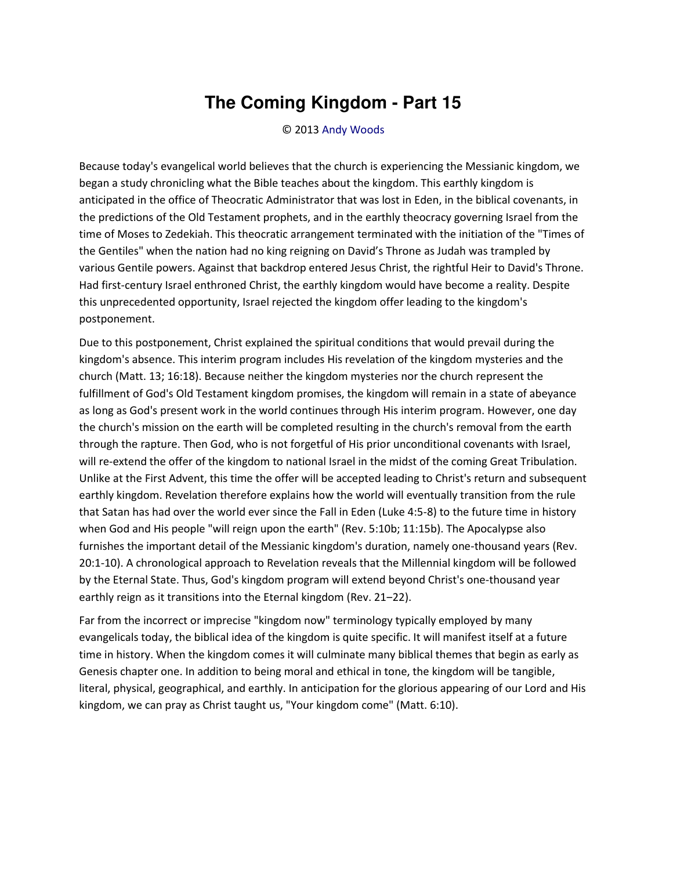## **The Coming Kingdom - Part 15**

© 2013 [Andy Woods](http://www.spiritandtruth.org/id/aw.htm)

Because today's evangelical world believes that the church is experiencing the Messianic kingdom, we began a study chronicling what the Bible teaches about the kingdom. This earthly kingdom is anticipated in the office of Theocratic Administrator that was lost in Eden, in the biblical covenants, in the predictions of the Old Testament prophets, and in the earthly theocracy governing Israel from the time of Moses to Zedekiah. This theocratic arrangement terminated with the initiation of the "Times of the Gentiles" when the nation had no king reigning on David's Throne as Judah was trampled by various Gentile powers. Against that backdrop entered Jesus Christ, the rightful Heir to David's Throne. Had first-century Israel enthroned Christ, the earthly kingdom would have become a reality. Despite this unprecedented opportunity, Israel rejected the kingdom offer leading to the kingdom's postponement.

Due to this postponement, Christ explained the spiritual conditions that would prevail during the kingdom's absence. This interim program includes His revelation of the kingdom mysteries and the church (Matt. 13; 16:18). Because neither the kingdom mysteries nor the church represent the fulfillment of God's Old Testament kingdom promises, the kingdom will remain in a state of abeyance as long as God's present work in the world continues through His interim program. However, one day the church's mission on the earth will be completed resulting in the church's removal from the earth through the rapture. Then God, who is not forgetful of His prior unconditional covenants with Israel, will re-extend the offer of the kingdom to national Israel in the midst of the coming Great Tribulation. Unlike at the First Advent, this time the offer will be accepted leading to Christ's return and subsequent earthly kingdom. Revelation therefore explains how the world will eventually transition from the rule that Satan has had over the world ever since the Fall in Eden (Luke 4:5-8) to the future time in history when God and His people "will reign upon the earth" (Rev. 5:10b; 11:15b). The Apocalypse also furnishes the important detail of the Messianic kingdom's duration, namely one-thousand years (Rev. 20:1-10). A chronological approach to Revelation reveals that the Millennial kingdom will be followed by the Eternal State. Thus, God's kingdom program will extend beyond Christ's one-thousand year earthly reign as it transitions into the Eternal kingdom (Rev. 21-22).

Far from the incorrect or imprecise "kingdom now" terminology typically employed by many evangelicals today, the biblical idea of the kingdom is quite specific. It will manifest itself at a future time in history. When the kingdom comes it will culminate many biblical themes that begin as early as Genesis chapter one. In addition to being moral and ethical in tone, the kingdom will be tangible, literal, physical, geographical, and earthly. In anticipation for the glorious appearing of our Lord and His kingdom, we can pray as Christ taught us, "Your kingdom come" (Matt. 6:10).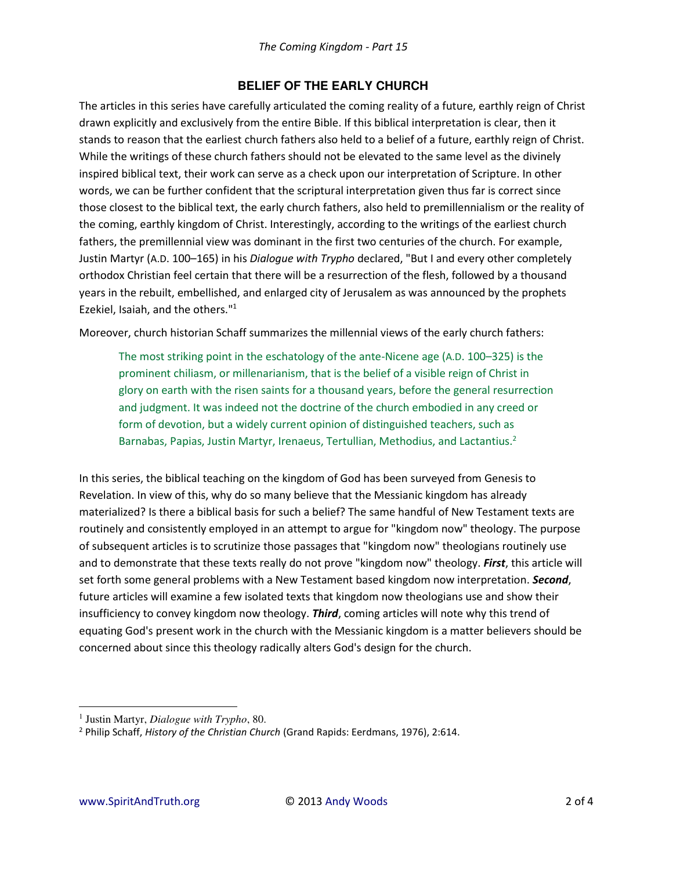## **BELIEF OF THE EARLY CHURCH**

The articles in this series have carefully articulated the coming reality of a future, earthly reign of Christ drawn explicitly and exclusively from the entire Bible. If this biblical interpretation is clear, then it stands to reason that the earliest church fathers also held to a belief of a future, earthly reign of Christ. While the writings of these church fathers should not be elevated to the same level as the divinely inspired biblical text, their work can serve as a check upon our interpretation of Scripture. In other words, we can be further confident that the scriptural interpretation given thus far is correct since those closest to the biblical text, the early church fathers, also held to premillennialism or the reality of the coming, earthly kingdom of Christ. Interestingly, according to the writings of the earliest church fathers, the premillennial view was dominant in the first two centuries of the church. For example, Justin Martyr (A.D. 100–165) in his *Dialogue with Trypho* declared, "But I and every other completely orthodox Christian feel certain that there will be a resurrection of the flesh, followed by a thousand years in the rebuilt, embellished, and enlarged city of Jerusalem as was announced by the prophets Ezekiel, Isaiah, and the others."<sup>1</sup>

Moreover, church historian Schaff summarizes the millennial views of the early church fathers:

The most striking point in the eschatology of the ante-Nicene age (A.D. 100–325) is the prominent chiliasm, or millenarianism, that is the belief of a visible reign of Christ in glory on earth with the risen saints for a thousand years, before the general resurrection and judgment. It was indeed not the doctrine of the church embodied in any creed or form of devotion, but a widely current opinion of distinguished teachers, such as Barnabas, Papias, Justin Martyr, Irenaeus, Tertullian, Methodius, and Lactantius.<sup>2</sup>

In this series, the biblical teaching on the kingdom of God has been surveyed from Genesis to Revelation. In view of this, why do so many believe that the Messianic kingdom has already materialized? Is there a biblical basis for such a belief? The same handful of New Testament texts are routinely and consistently employed in an attempt to argue for "kingdom now" theology. The purpose of subsequent articles is to scrutinize those passages that "kingdom now" theologians routinely use and to demonstrate that these texts really do not prove "kingdom now" theology. *First*, this article will set forth some general problems with a New Testament based kingdom now interpretation. *Second*, future articles will examine a few isolated texts that kingdom now theologians use and show their insufficiency to convey kingdom now theology. *Third*, coming articles will note why this trend of equating God's present work in the church with the Messianic kingdom is a matter believers should be concerned about since this theology radically alters God's design for the church.

l

<sup>1</sup> Justin Martyr, *Dialogue with Trypho*, 80.

<sup>2</sup> Philip Schaff, *History of the Christian Church* (Grand Rapids: Eerdmans, 1976), 2:614.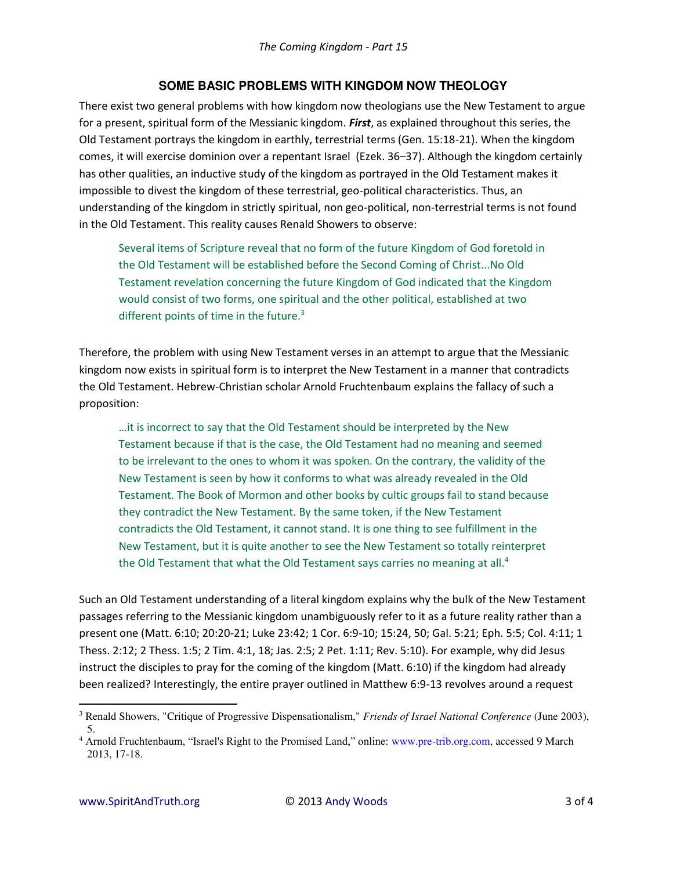## **SOME BASIC PROBLEMS WITH KINGDOM NOW THEOLOGY**

There exist two general problems with how kingdom now theologians use the New Testament to argue for a present, spiritual form of the Messianic kingdom. *First*, as explained throughout this series, the Old Testament portrays the kingdom in earthly, terrestrial terms (Gen. 15:18-21). When the kingdom comes, it will exercise dominion over a repentant Israel (Ezek. 36–37). Although the kingdom certainly has other qualities, an inductive study of the kingdom as portrayed in the Old Testament makes it impossible to divest the kingdom of these terrestrial, geo-political characteristics. Thus, an understanding of the kingdom in strictly spiritual, non geo-political, non-terrestrial terms is not found in the Old Testament. This reality causes Renald Showers to observe:

Several items of Scripture reveal that no form of the future Kingdom of God foretold in the Old Testament will be established before the Second Coming of Christ...No Old Testament revelation concerning the future Kingdom of God indicated that the Kingdom would consist of two forms, one spiritual and the other political, established at two different points of time in the future.<sup>3</sup>

Therefore, the problem with using New Testament verses in an attempt to argue that the Messianic kingdom now exists in spiritual form is to interpret the New Testament in a manner that contradicts the Old Testament. Hebrew-Christian scholar Arnold Fruchtenbaum explains the fallacy of such a proposition:

... it is incorrect to say that the Old Testament should be interpreted by the New Testament because if that is the case, the Old Testament had no meaning and seemed to be irrelevant to the ones to whom it was spoken. On the contrary, the validity of the New Testament is seen by how it conforms to what was already revealed in the Old Testament. The Book of Mormon and other books by cultic groups fail to stand because they contradict the New Testament. By the same token, if the New Testament contradicts the Old Testament, it cannot stand. It is one thing to see fulfillment in the New Testament, but it is quite another to see the New Testament so totally reinterpret the Old Testament that what the Old Testament says carries no meaning at all.<sup>4</sup>

Such an Old Testament understanding of a literal kingdom explains why the bulk of the New Testament passages referring to the Messianic kingdom unambiguously refer to it as a future reality rather than a present one (Matt. 6:10; 20:20-21; Luke 23:42; 1 Cor. 6:9-10; 15:24, 50; Gal. 5:21; Eph. 5:5; Col. 4:11; 1 Thess. 2:12; 2 Thess. 1:5; 2 Tim. 4:1, 18; Jas. 2:5; 2 Pet. 1:11; Rev. 5:10). For example, why did Jesus instruct the disciples to pray for the coming of the kingdom (Matt. 6:10) if the kingdom had already been realized? Interestingly, the entire prayer outlined in Matthew 6:9-13 revolves around a request

 $\overline{a}$ 

<sup>3</sup> Renald Showers, "Critique of Progressive Dispensationalism," *Friends of Israel National Conference* (June 2003), 5.

<sup>&</sup>lt;sup>4</sup> Arnold Fruchtenbaum, "Israel's Right to the Promised Land," online: www.pre-trib.org.com, accessed 9 March 2013, 17-18.